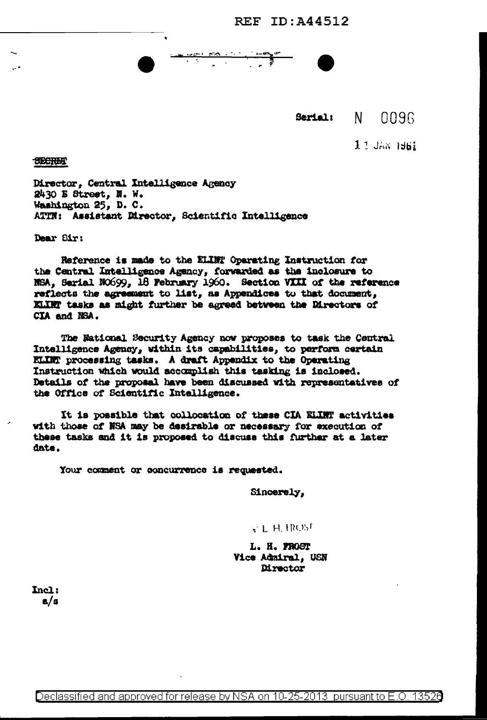**REF ID: A44512** 

Serial:

 $\mathbf{M}$ 

nn96

 $11$  JAN  $1961$ 

**SECRET** 

Director, Central Intelligence Agency 2430 E Street. N. W. Washington 25, D. C. ATTN: Assistant Director, Scientific Intelligence

Dear Sir:

Reference is made to the ELIMT Operating Instruction for the Central Intelligence Agency, forwarded as the inclosure to NSA, Serial NO699, 18 February 1960. Section VIII of the reference reflects the agreement to list, as Appendices to that document, KLINT tasks as might further be agreed between the Directors of CIA and NSA.

The National Security Agency now proposes to task the Central Intelligence Agency, within its capabilities, to perform certain ELIM processing tasks. A draft Appendix to the Operating Instruction which would accomplish this tasking is inclosed. Details of the proposal have been discussed with representatives of the Office of Scientific Intelligence.

It is possible that collocation of these CIA ELLWT activities with those of NSA may be desirable or necessary for execution of these tasks and it is proposed to discuss this further at a later date.

Your comment or concurrence is requested.

Sincerely.

**CLHIROST** 

L. H. PROST Vice Admiral, USN Director

Incl:  $a/a$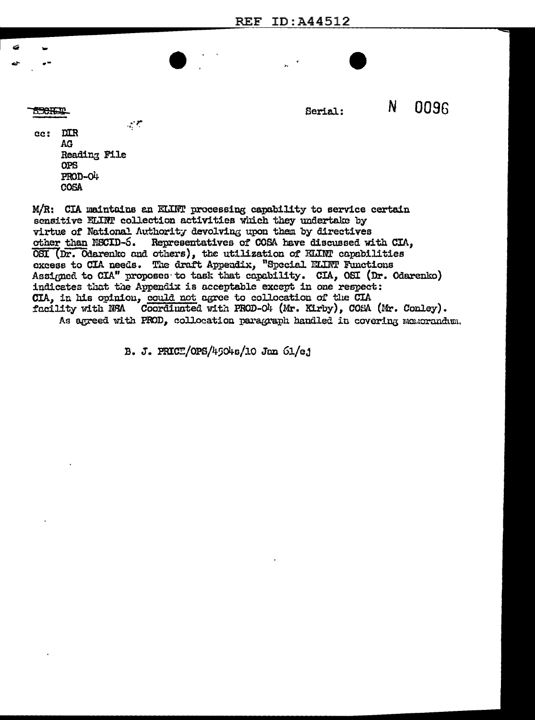**REF ID: A44512** 

**TERRETT** 

N Serial:

0096

 $\sim$   $\sim$  $cc:$ **DIR** AG. Reading File **OPS** PROD-O4 **COSA** 

M/R: CIA maintains an ELLNT processing capability to service certain sensitive ELINT collection activities which they undertake by virtue of National Authority devolving upon them by directives Representatives of COSA have discussed with CIA, other than NSCID-5. OSI (Dr. Odarenko and others), the utilization of ELINT capabilities excess to CIA needs. The draft Appendix, "Special ELINT Functions Assigned to CIA" proposes to task that capability. CIA, OSI (Dr. Odarenko) indicates that the Appendix is acceptable except in one respect: CIA, in his opinion, could not agree to collocation of the CIA facility with NSA Coordinated with PROD-O4 (Mr. Kirby), COSA (Mr. Conley). As agreed with PROD, collocation paragraph handled in covering memorandum.

B. J. PRICE/OPS/4504s/10 Jan 61/ej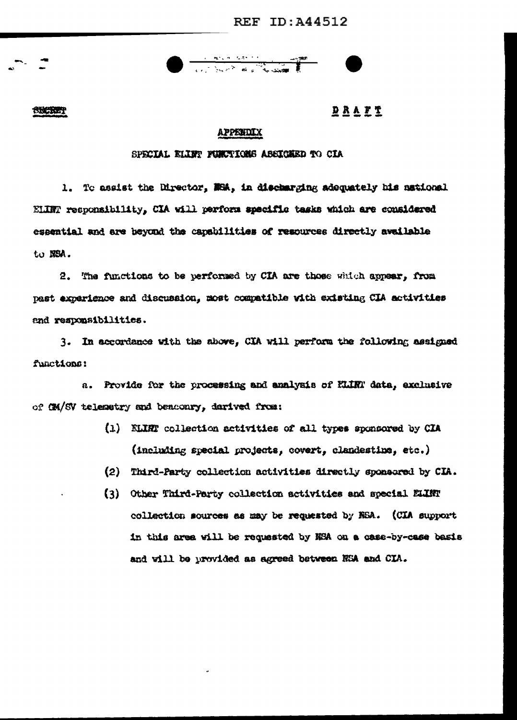**SECKET** 

**DRAFT** 

## **APPENDIX**

## SPECIAL ELIET FUNCTIONS ASSICHED TO CIA

1. To assist the Director, NHA, in discharging adequately his national ELINT responsibility, CIA will perform specific tasks which are considered essential and are beyond the capabilities of resources directly available to NSA.

2. The functions to be performed by CIA are those which appear, from past experience and discussion, most compatible with existing CIA activities and responsibilities.

3. In accordance with the above, CIA will perform the following assigned functions:

a. Provide for the processing and analysis of HLIRT data, exclusive of CM/SV telemetry and bencomry, darived from:

- (1) KLIRT collection activities of all types sponsored by CIA (including special projects, covert, clandestine, etc.)
- (2) Third-Party collection activities directly sponsored by CIA.
- (3) Other Third-Party collection activities and special ELINT collection sources as may be requested by NSA. (CIA support in this area will be requested by NSA on a case-by-case basis and will be provided as agreed between NSA and CIA.